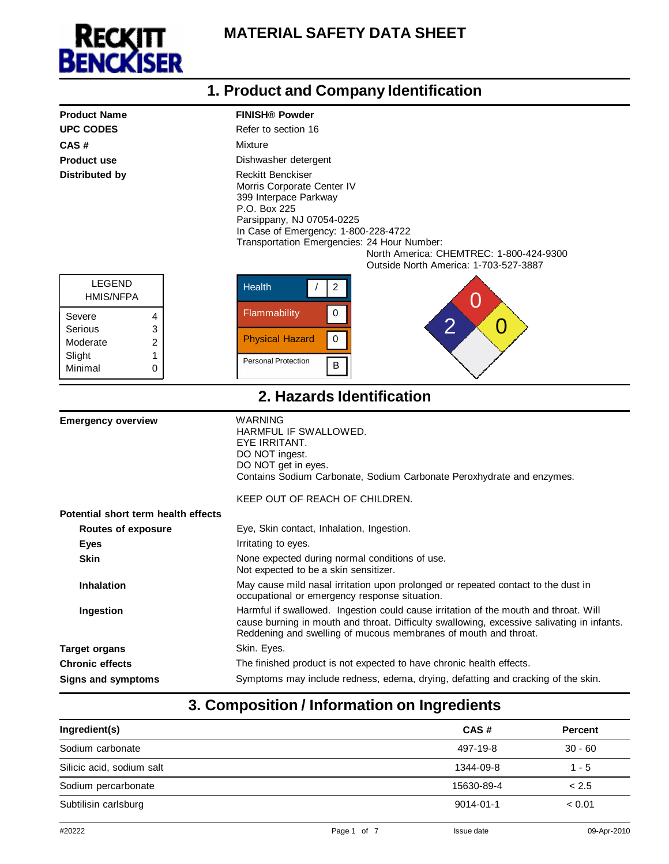

#### Severe 4 Serious 3 Moderate 2 Slight 1 Minimal 0 **1. Product and Company Identification Product Name FINISH® Powder UPC CODES Refer to section 16 CAS #** Mixture **Product use** Dishwasher detergent **Distributed by Reckitt Benckiser** Morris Corporate Center IV 399 Interpace Parkway P.O. Box 225 Parsippany, NJ 07054-0225 In Case of Emergency: 1-800-228-4722 Transportation Emergencies: 24 Hour Number: North America: CHEMTREC: 1-800-424-9300 Outside North America: 1-703-527-3887 LEGEND HMIS/NFPA Health  $\vert$  / 2 0 Flammability 0 2 X 0 Physical Hazard  $\vert 0 \vert$ Personal Protection **B 2. Hazards Identification** space **Emergency overview** WARNING HARMFUL IF SWALLOWED. EYE IRRITANT. DO NOT ingest. DO NOT get in eyes. Contains Sodium Carbonate, Sodium Carbonate Peroxhydrate and enzymes. **Potential short term health effects Routes of exposure** KEEP OUT OF REACH OF CHILDREN. Eye, Skin contact, Inhalation, Ingestion. **Eves Eves I**rritating to eyes. **Skin Skin None expected during normal conditions of use.** Not expected to be a skin sensitizer. **Inhalation May cause mild nasal irritation upon prolonged or repeated contact to the dust in** occupational or emergency response situation. **Ingestion Harmful if swallowed.** Ingestion could cause irritation of the mouth and throat. Will cause burning in mouth and throat. Difficulty swallowing, excessive salivating in infants. Reddening and swelling of mucous membranes of mouth and throat. **Target organs Skin.** Eyes. **Chronic effects** The finished product is not expected to have chronic health effects. **Signs and symptoms** Symptoms may include redness, edema, drying, defatting and cracking of the skin.

### **3. Composition / Information on Ingredients**

| Ingredient(s)             | CAS#            | <b>Percent</b> |
|---------------------------|-----------------|----------------|
| Sodium carbonate          | 497-19-8        | $30 - 60$      |
| Silicic acid, sodium salt | 1344-09-8       | $1 - 5$        |
| Sodium percarbonate       | 15630-89-4      | < 2.5          |
| Subtilisin carlsburg      | $9014 - 01 - 1$ | < 0.01         |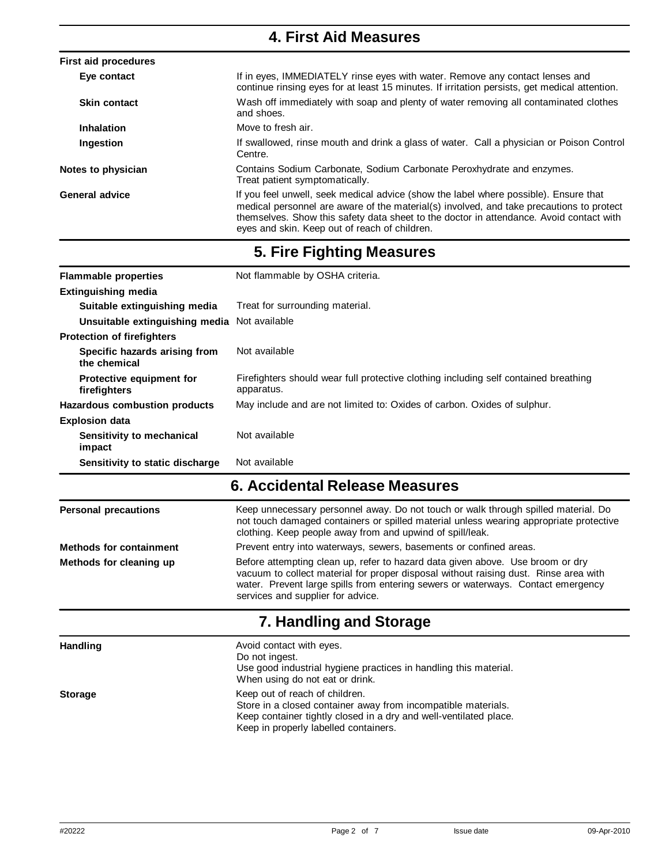#### **4. First Aid Measures First aid procedures Eye contact** If in eyes, IMMEDIATELY rinse eyes with water. Remove any contact lenses and continue rinsing eyes for at least 15 minutes. If irritation persists, get medical attention. **Skin contact Wash off immediately with soap and plenty of water removing all contaminated clothes** and shoes. **Inhalation Move to fresh air.** Ingestion **If swallowed, rinse mouth and drink a glass of water.** Call a physician or Poison Control Centre. **Notes to physician <b>Contains** Sodium Carbonate, Sodium Carbonate Peroxhydrate and enzymes. Treat patient symptomatically. General advice **If you feel unwell, seek medical advice** (show the label where possible). Ensure that medical personnel are aware of the material(s) involved, and take precautions to protect themselves. Show this safety data sheet to the doctor in attendance. Avoid contact with eyes and skin. Keep out of reach of children.

## **5. Fire Fighting Measures**

| <b>Flammable properties</b>                   | Not flammable by OSHA criteria.                                                                    |  |
|-----------------------------------------------|----------------------------------------------------------------------------------------------------|--|
| <b>Extinguishing media</b>                    |                                                                                                    |  |
| Suitable extinguishing media                  | Treat for surrounding material.                                                                    |  |
| Unsuitable extinguishing media                | Not available                                                                                      |  |
| <b>Protection of firefighters</b>             |                                                                                                    |  |
| Specific hazards arising from<br>the chemical | Not available                                                                                      |  |
| Protective equipment for<br>firefighters      | Firefighters should wear full protective clothing including self contained breathing<br>apparatus. |  |
| Hazardous combustion products                 | May include and are not limited to: Oxides of carbon. Oxides of sulphur.                           |  |
| <b>Explosion data</b>                         |                                                                                                    |  |
| Sensitivity to mechanical<br>impact           | Not available                                                                                      |  |
| Sensitivity to static discharge               | Not available                                                                                      |  |

## **6. Accidental Release Measures**

| <b>Personal precautions</b>    | Keep unnecessary personnel away. Do not touch or walk through spilled material. Do<br>not touch damaged containers or spilled material unless wearing appropriate protective<br>clothing. Keep people away from and upwind of spill/leak.                                                       |
|--------------------------------|-------------------------------------------------------------------------------------------------------------------------------------------------------------------------------------------------------------------------------------------------------------------------------------------------|
| <b>Methods for containment</b> | Prevent entry into waterways, sewers, basements or confined areas.                                                                                                                                                                                                                              |
| Methods for cleaning up        | Before attempting clean up, refer to hazard data given above. Use broom or dry<br>vacuum to collect material for proper disposal without raising dust. Rinse area with<br>water. Prevent large spills from entering sewers or waterways. Contact emergency<br>services and supplier for advice. |
|                                | ---                                                                                                                                                                                                                                                                                             |

### **7. Handling and Storage**

| <b>Handling</b> | Avoid contact with eyes.<br>Do not ingest.<br>Use good industrial hygiene practices in handling this material.<br>When using do not eat or drink.                                                             |
|-----------------|---------------------------------------------------------------------------------------------------------------------------------------------------------------------------------------------------------------|
| <b>Storage</b>  | Keep out of reach of children.<br>Store in a closed container away from incompatible materials.<br>Keep container tightly closed in a dry and well-ventilated place.<br>Keep in properly labelled containers. |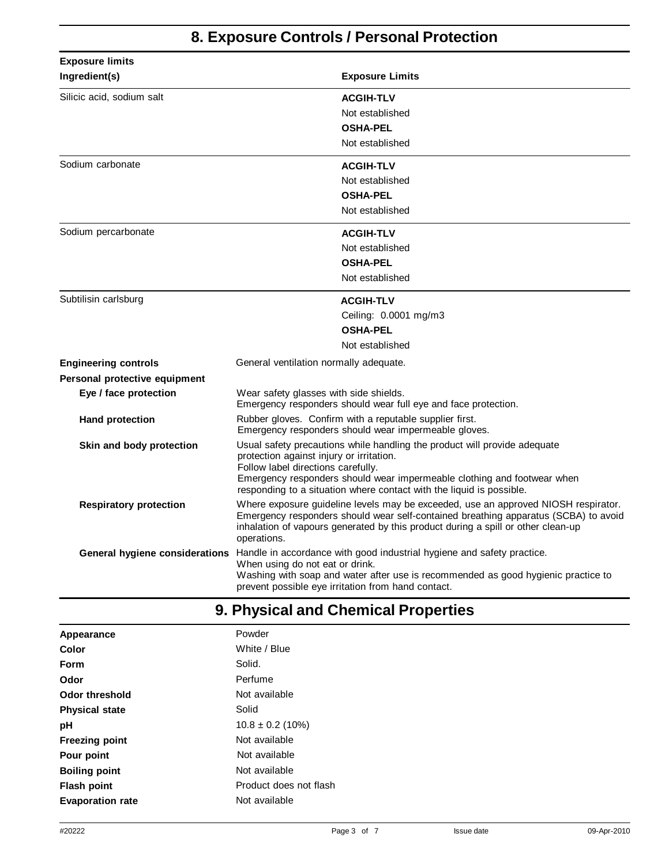# **8. Exposure Controls / Personal Protection**

| <b>Exposure limits</b>        |                                                                                                                                                                                                                                                                                                                |  |
|-------------------------------|----------------------------------------------------------------------------------------------------------------------------------------------------------------------------------------------------------------------------------------------------------------------------------------------------------------|--|
| Ingredient(s)                 | <b>Exposure Limits</b>                                                                                                                                                                                                                                                                                         |  |
| Silicic acid, sodium salt     | <b>ACGIH-TLV</b>                                                                                                                                                                                                                                                                                               |  |
|                               | Not established                                                                                                                                                                                                                                                                                                |  |
|                               | <b>OSHA-PEL</b>                                                                                                                                                                                                                                                                                                |  |
|                               | Not established                                                                                                                                                                                                                                                                                                |  |
| Sodium carbonate              | <b>ACGIH-TLV</b>                                                                                                                                                                                                                                                                                               |  |
|                               | Not established                                                                                                                                                                                                                                                                                                |  |
|                               | <b>OSHA-PEL</b>                                                                                                                                                                                                                                                                                                |  |
|                               | Not established                                                                                                                                                                                                                                                                                                |  |
| Sodium percarbonate           | <b>ACGIH-TLV</b>                                                                                                                                                                                                                                                                                               |  |
|                               | Not established                                                                                                                                                                                                                                                                                                |  |
|                               | <b>OSHA-PEL</b>                                                                                                                                                                                                                                                                                                |  |
|                               | Not established                                                                                                                                                                                                                                                                                                |  |
| Subtilisin carlsburg          | <b>ACGIH-TLV</b>                                                                                                                                                                                                                                                                                               |  |
|                               | Ceiling: 0.0001 mg/m3                                                                                                                                                                                                                                                                                          |  |
|                               | <b>OSHA-PEL</b>                                                                                                                                                                                                                                                                                                |  |
|                               | Not established                                                                                                                                                                                                                                                                                                |  |
| <b>Engineering controls</b>   | General ventilation normally adequate.                                                                                                                                                                                                                                                                         |  |
| Personal protective equipment |                                                                                                                                                                                                                                                                                                                |  |
| Eye / face protection         | Wear safety glasses with side shields.<br>Emergency responders should wear full eye and face protection.                                                                                                                                                                                                       |  |
| <b>Hand protection</b>        | Rubber gloves. Confirm with a reputable supplier first.<br>Emergency responders should wear impermeable gloves.                                                                                                                                                                                                |  |
| Skin and body protection      | Usual safety precautions while handling the product will provide adequate<br>protection against injury or irritation.<br>Follow label directions carefully.<br>Emergency responders should wear impermeable clothing and footwear when<br>responding to a situation where contact with the liquid is possible. |  |
| <b>Respiratory protection</b> | Where exposure guideline levels may be exceeded, use an approved NIOSH respirator.<br>Emergency responders should wear self-contained breathing apparatus (SCBA) to avoid<br>inhalation of vapours generated by this product during a spill or other clean-up<br>operations.                                   |  |
|                               | General hygiene considerations Handle in accordance with good industrial hygiene and safety practice.<br>When using do not eat or drink.<br>Washing with soap and water after use is recommended as good hygienic practice to<br>prevent possible eye irritation from hand contact.                            |  |

## **9. Physical and Chemical Properties**

| Appearance              | Powder                 |
|-------------------------|------------------------|
| Color                   | White / Blue           |
| Form                    | Solid.                 |
| Odor                    | Perfume                |
| <b>Odor threshold</b>   | Not available          |
| <b>Physical state</b>   | Solid                  |
| рH                      | $10.8 \pm 0.2$ (10%)   |
| <b>Freezing point</b>   | Not available          |
| Pour point              | Not available          |
| <b>Boiling point</b>    | Not available          |
| <b>Flash point</b>      | Product does not flash |
| <b>Evaporation rate</b> | Not available          |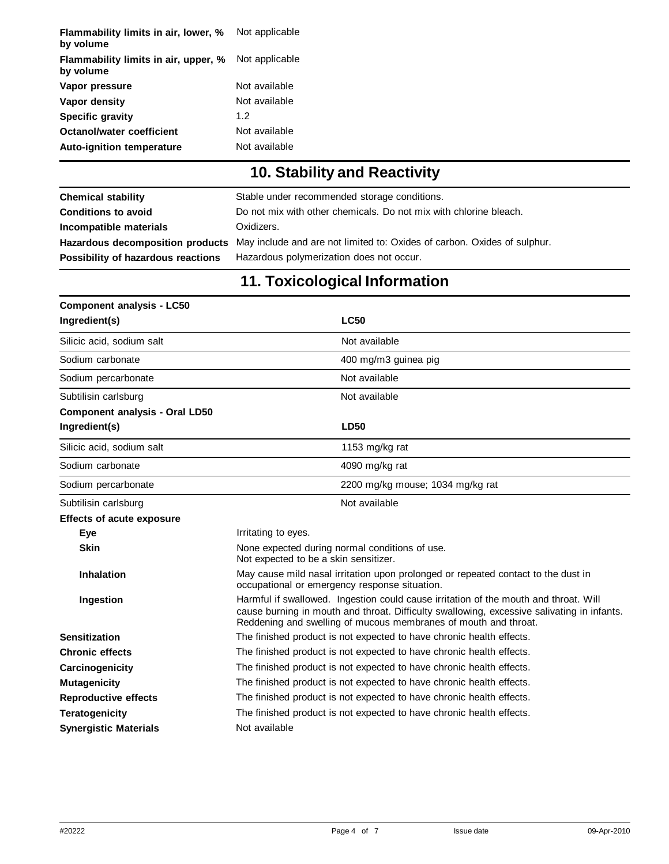| Flammability limits in air, lower, %<br>by volume | Not applicable |
|---------------------------------------------------|----------------|
| Flammability limits in air, upper, %<br>by volume | Not applicable |
| Vapor pressure                                    | Not available  |
| Vapor density                                     | Not available  |
| <b>Specific gravity</b>                           | 12             |
| Octanol/water coefficient                         | Not available  |
| <b>Auto-ignition temperature</b>                  | Not available  |

# **10. Stability and Reactivity**

| <b>Chemical stability</b>          | Stable under recommended storage conditions.                                                              |
|------------------------------------|-----------------------------------------------------------------------------------------------------------|
| <b>Conditions to avoid</b>         | Do not mix with other chemicals. Do not mix with chlorine bleach.                                         |
| Incompatible materials             | Oxidizers.                                                                                                |
|                                    | Hazardous decomposition products May include and are not limited to: Oxides of carbon. Oxides of sulphur. |
| Possibility of hazardous reactions | Hazardous polymerization does not occur.                                                                  |

# **11. Toxicological Information**

| <b>Component analysis - LC50</b>      |                                                                                                                                                                                                                                                       |  |
|---------------------------------------|-------------------------------------------------------------------------------------------------------------------------------------------------------------------------------------------------------------------------------------------------------|--|
| Ingredient(s)                         | <b>LC50</b>                                                                                                                                                                                                                                           |  |
| Silicic acid, sodium salt             | Not available                                                                                                                                                                                                                                         |  |
| Sodium carbonate                      | 400 mg/m3 guinea pig                                                                                                                                                                                                                                  |  |
| Sodium percarbonate                   | Not available                                                                                                                                                                                                                                         |  |
| Subtilisin carlsburg                  | Not available                                                                                                                                                                                                                                         |  |
| <b>Component analysis - Oral LD50</b> |                                                                                                                                                                                                                                                       |  |
| Ingredient(s)                         | <b>LD50</b>                                                                                                                                                                                                                                           |  |
| Silicic acid, sodium salt             | 1153 mg/kg rat                                                                                                                                                                                                                                        |  |
| Sodium carbonate                      | 4090 mg/kg rat                                                                                                                                                                                                                                        |  |
| Sodium percarbonate                   | 2200 mg/kg mouse; 1034 mg/kg rat                                                                                                                                                                                                                      |  |
| Subtilisin carlsburg                  | Not available                                                                                                                                                                                                                                         |  |
| <b>Effects of acute exposure</b>      |                                                                                                                                                                                                                                                       |  |
| Eye                                   | Irritating to eyes.                                                                                                                                                                                                                                   |  |
| <b>Skin</b>                           | None expected during normal conditions of use.<br>Not expected to be a skin sensitizer.                                                                                                                                                               |  |
| <b>Inhalation</b>                     | May cause mild nasal irritation upon prolonged or repeated contact to the dust in<br>occupational or emergency response situation.                                                                                                                    |  |
| Ingestion                             | Harmful if swallowed. Ingestion could cause irritation of the mouth and throat. Will<br>cause burning in mouth and throat. Difficulty swallowing, excessive salivating in infants.<br>Reddening and swelling of mucous membranes of mouth and throat. |  |
| <b>Sensitization</b>                  | The finished product is not expected to have chronic health effects.                                                                                                                                                                                  |  |
| <b>Chronic effects</b>                | The finished product is not expected to have chronic health effects.                                                                                                                                                                                  |  |
| Carcinogenicity                       | The finished product is not expected to have chronic health effects.                                                                                                                                                                                  |  |
| <b>Mutagenicity</b>                   | The finished product is not expected to have chronic health effects.                                                                                                                                                                                  |  |
| <b>Reproductive effects</b>           | The finished product is not expected to have chronic health effects.                                                                                                                                                                                  |  |
| <b>Teratogenicity</b>                 | The finished product is not expected to have chronic health effects.                                                                                                                                                                                  |  |
| <b>Synergistic Materials</b>          | Not available                                                                                                                                                                                                                                         |  |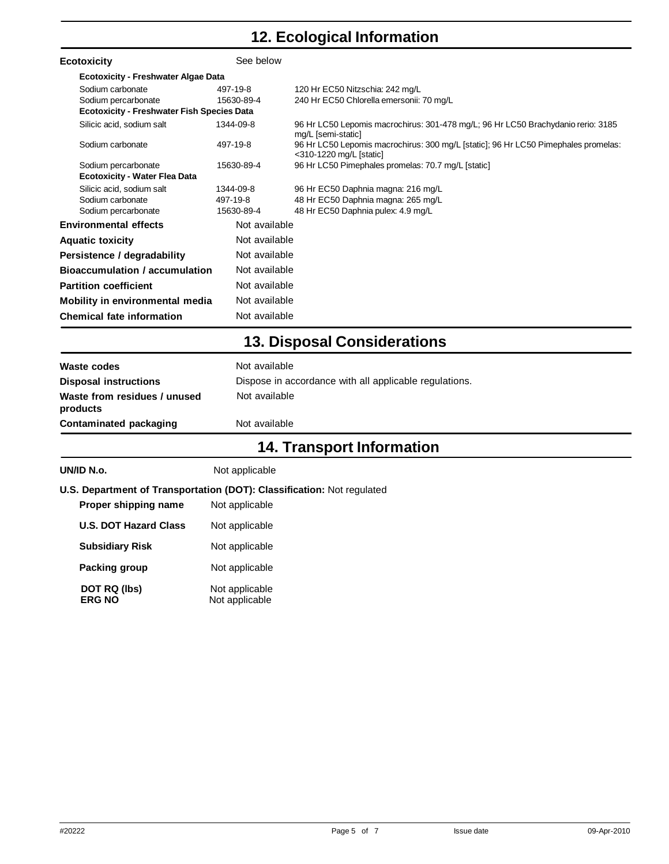# **12. Ecological Information**

| <b>Ecotoxicity</b>                                | See below     |                                                                                                               |
|---------------------------------------------------|---------------|---------------------------------------------------------------------------------------------------------------|
| <b>Ecotoxicity - Freshwater Algae Data</b>        |               |                                                                                                               |
| Sodium carbonate                                  | 497-19-8      | 120 Hr EC50 Nitzschia: 242 mg/L                                                                               |
| Sodium percarbonate                               | 15630-89-4    | 240 Hr EC50 Chlorella emersonii: 70 mg/L                                                                      |
| <b>Ecotoxicity - Freshwater Fish Species Data</b> |               |                                                                                                               |
| Silicic acid, sodium salt                         | 1344-09-8     | 96 Hr LC50 Lepomis macrochirus: 301-478 mg/L; 96 Hr LC50 Brachydanio rerio: 3185<br>mg/L [semi-static]        |
| Sodium carbonate                                  | 497-19-8      | 96 Hr LC50 Lepomis macrochirus: 300 mg/L [static]; 96 Hr LC50 Pimephales promelas:<br><310-1220 mg/L [static] |
| Sodium percarbonate                               | 15630-89-4    | 96 Hr LC50 Pimephales promelas: 70.7 mg/L [static]                                                            |
| <b>Ecotoxicity - Water Flea Data</b>              |               |                                                                                                               |
| Silicic acid, sodium salt                         | 1344-09-8     | 96 Hr EC50 Daphnia magna: 216 mg/L                                                                            |
| Sodium carbonate                                  | 497-19-8      | 48 Hr EC50 Daphnia magna: 265 mg/L                                                                            |
| Sodium percarbonate                               | 15630-89-4    | 48 Hr EC50 Daphnia pulex: 4.9 mg/L                                                                            |
| <b>Environmental effects</b>                      | Not available |                                                                                                               |
| <b>Aquatic toxicity</b>                           | Not available |                                                                                                               |
| Persistence / degradability                       | Not available |                                                                                                               |
| <b>Bioaccumulation / accumulation</b>             | Not available |                                                                                                               |
| <b>Partition coefficient</b>                      | Not available |                                                                                                               |
| Mobility in environmental media                   | Not available |                                                                                                               |
| <b>Chemical fate information</b>                  | Not available |                                                                                                               |

## **13. Disposal Considerations**

|                                          | AA Tusmamant Information                               |
|------------------------------------------|--------------------------------------------------------|
| Contaminated packaging                   | Not available                                          |
| Waste from residues / unused<br>products | Not available                                          |
| <b>Disposal instructions</b>             | Dispose in accordance with all applicable regulations. |
| Waste codes                              | Not available                                          |

### **14. Transport Information**

| UN/ID N.o.                                                                    | Not applicable |  |
|-------------------------------------------------------------------------------|----------------|--|
| <b>U.S. Department of Transportation (DOT): Classification: Not regulated</b> |                |  |
| Dranor chinning namo                                                          | Not opplicable |  |

| Proper snipping name          | inot applicable                  |
|-------------------------------|----------------------------------|
| <b>U.S. DOT Hazard Class</b>  | Not applicable                   |
| <b>Subsidiary Risk</b>        | Not applicable                   |
| Packing group                 | Not applicable                   |
| DOT RQ (lbs)<br><b>ERG NO</b> | Not applicable<br>Not applicable |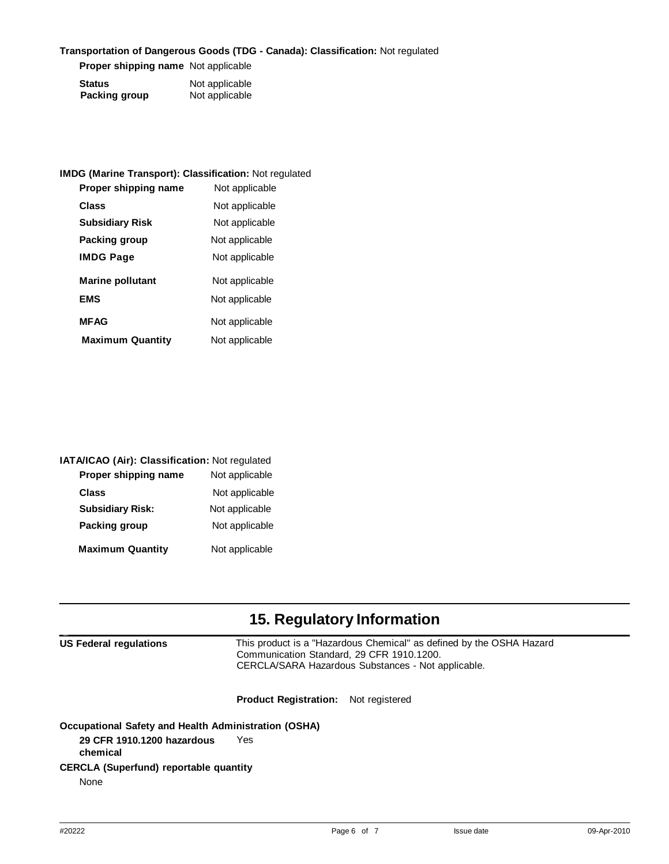### **Transportation of Dangerous Goods (TDG - Canada): Classification:** Not regulated

**Proper shipping name** Not applicable

| <b>Status</b>        | Not applicable |
|----------------------|----------------|
| <b>Packing group</b> | Not applicable |

| <b>IMDG (Marine Transport): Classification: Not regulated</b> |                |
|---------------------------------------------------------------|----------------|
| Proper shipping name                                          | Not applicable |
| Class                                                         | Not applicable |
| <b>Subsidiary Risk</b>                                        | Not applicable |
| Packing group                                                 | Not applicable |
| <b>IMDG Page</b>                                              | Not applicable |
| <b>Marine pollutant</b>                                       | Not applicable |
| <b>EMS</b>                                                    | Not applicable |
| <b>MFAG</b>                                                   | Not applicable |
| <b>Maximum Quantity</b>                                       | Not applicable |
|                                                               |                |

| IATA/ICAO (Air): Classification: Not regulated |                |
|------------------------------------------------|----------------|
| Proper shipping name                           | Not applicable |
| <b>Class</b>                                   | Not applicable |
| <b>Subsidiary Risk:</b>                        | Not applicable |
| Packing group                                  | Not applicable |
| <b>Maximum Quantity</b>                        | Not applicable |

# **15. Regulatory Information**

| <b>US Federal regulations</b>                               | This product is a "Hazardous Chemical" as defined by the OSHA Hazard<br>Communication Standard, 29 CFR 1910.1200.<br>CERCLA/SARA Hazardous Substances - Not applicable. |  |
|-------------------------------------------------------------|-------------------------------------------------------------------------------------------------------------------------------------------------------------------------|--|
|                                                             | <b>Product Registration:</b> Not registered                                                                                                                             |  |
| <b>Occupational Safety and Health Administration (OSHA)</b> |                                                                                                                                                                         |  |
| 29 CFR 1910.1200 hazardous<br>chemical                      | Yes                                                                                                                                                                     |  |
| <b>CERCLA (Superfund) reportable quantity</b>               |                                                                                                                                                                         |  |

None